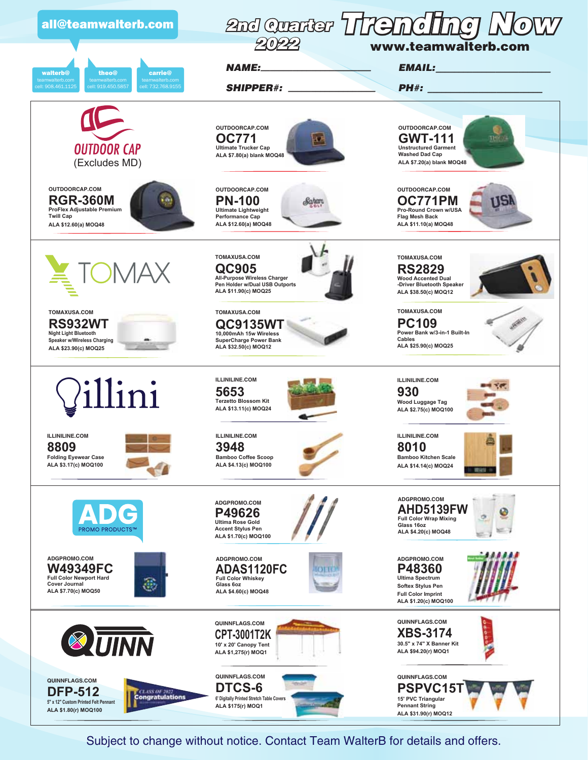

Subject to change without notice. Contact Team WalterB for details and offers.